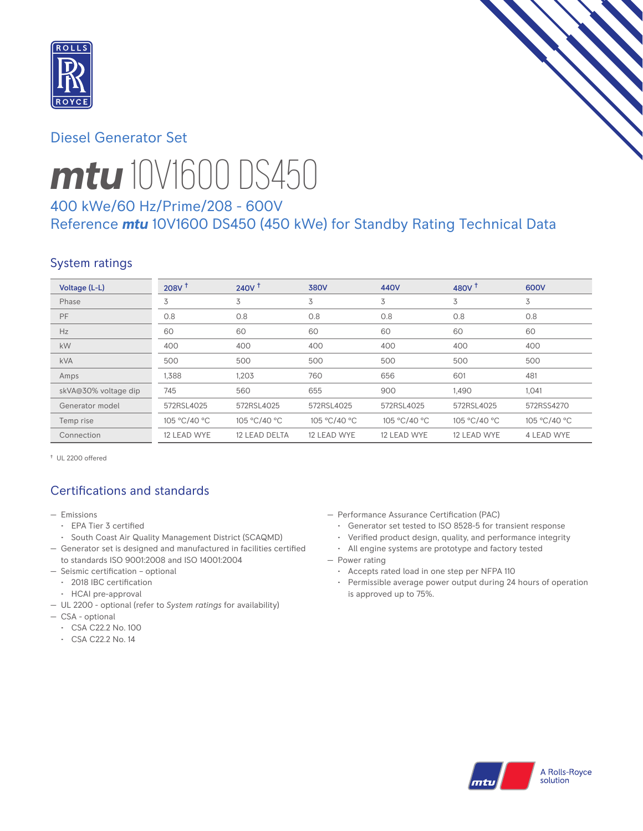

# Diesel Generator Set



# *mtu* 10V1600 DS450

# 400 kWe/60 Hz/Prime/208 - 600V Reference *mtu* 10V1600 DS450 (450 kWe) for Standby Rating Technical Data

# System ratings

| Voltage (L-L)        | 208V <sup>†</sup> | 240V <sup>†</sup>    | <b>380V</b>  | 440V         | 480V $†$     | 600V              |
|----------------------|-------------------|----------------------|--------------|--------------|--------------|-------------------|
| Phase                | 3                 | 3                    | 3            | 3            | 3            | 3                 |
| PF                   | 0.8               | 0.8                  | 0.8          | 0.8          | 0.8          | 0.8               |
| Hz                   | 60                | 60                   | 60           | 60           | 60           | 60                |
| kW                   | 400               | 400                  | 400          | 400          | 400          | 400               |
| <b>kVA</b>           | 500               | 500                  | 500          | 500          | 500          | 500               |
| Amps                 | 1,388             | 1,203                | 760          | 656          | 601          | 481               |
| skVA@30% voltage dip | 745               | 560                  | 655          | 900          | 1,490        | 1,041             |
| Generator model      | 572RSL4025        | 572RSL4025           | 572RSL4025   | 572RSL4025   | 572RSL4025   | 572RSS4270        |
| Temp rise            | 105 °C/40 °C      | 105 °C/40 °C         | 105 °C/40 °C | 105 °C/40 °C | 105 °C/40 °C | 105 °C/40 °C      |
| Connection           | 12 LEAD WYE       | <b>12 LEAD DELTA</b> | 12 LEAD WYE  | 12 LEAD WYE  | 12 LEAD WYE  | <b>4 LEAD WYE</b> |

† UL 2200 offered

# Certifications and standards

- Emissions
	- EPA Tier 3 certified
- South Coast Air Quality Management District (SCAQMD)
- Generator set is designed and manufactured in facilities certified to standards ISO 9001:2008 and ISO 14001:2004
- Seismic certification optional
- 2018 IBC certification
- HCAI pre-approval
- UL 2200 optional (refer to *System ratings* for availability)
- CSA optional
	- CSA C22.2 No. 100
	- CSA C22.2 No. 14
- Performance Assurance Certification (PAC)
	- Generator set tested to ISO 8528-5 for transient response
	- Verified product design, quality, and performance integrity
	- All engine systems are prototype and factory tested
- Power rating
	- Accepts rated load in one step per NFPA 110
	- Permissible average power output during 24 hours of operation is approved up to 75%.

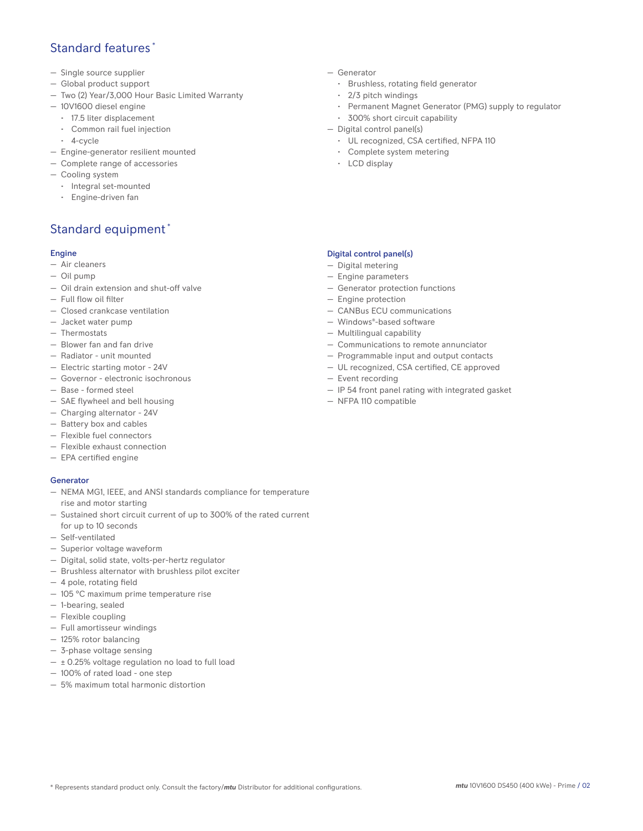## Standard features \*

- Single source supplier
- Global product support
- Two (2) Year/3,000 Hour Basic Limited Warranty
- 10V1600 diesel engine
	- 17.5 liter displacement
	- Common rail fuel injection
	- 4-cycle
- Engine-generator resilient mounted
- Complete range of accessories
- Cooling system
- Integral set-mounted
	- Engine-driven fan

# Standard equipment \*

#### Engine

- Air cleaners
- Oil pump
- Oil drain extension and shut-off valve
- Full flow oil filter
- Closed crankcase ventilation
- Jacket water pump
- Thermostats
- Blower fan and fan drive
- Radiator unit mounted
- Electric starting motor 24V
- Governor electronic isochronous
- Base formed steel
- SAE flywheel and bell housing
- Charging alternator 24V
- Battery box and cables
- Flexible fuel connectors
- Flexible exhaust connection
- EPA certified engine

#### **Generator**

- NEMA MG1, IEEE, and ANSI standards compliance for temperature rise and motor starting
- Sustained short circuit current of up to 300% of the rated current for up to 10 seconds
- Self-ventilated
- Superior voltage waveform
- Digital, solid state, volts-per-hertz regulator
- Brushless alternator with brushless pilot exciter
- 4 pole, rotating field
- 105 °C maximum prime temperature rise
- 1-bearing, sealed
- Flexible coupling
- Full amortisseur windings
- 125% rotor balancing
- 3-phase voltage sensing
- $\pm$  0.25% voltage regulation no load to full load
- 100% of rated load one step
- 5% maximum total harmonic distortion
- Generator
	- Brushless, rotating field generator
	- 2/3 pitch windings
	- Permanent Magnet Generator (PMG) supply to regulator
- 300% short circuit capability
- Digital control panel(s)
	- UL recognized, CSA certified, NFPA 110
	- Complete system metering
	- LCD display

### Digital control panel(s)

- Digital metering
- Engine parameters
- Generator protection functions
- Engine protection
- CANBus ECU communications
- Windows®-based software
- Multilingual capability
- Communications to remote annunciator
- Programmable input and output contacts
- UL recognized, CSA certified, CE approved
- Event recording
- IP 54 front panel rating with integrated gasket
- NFPA 110 compatible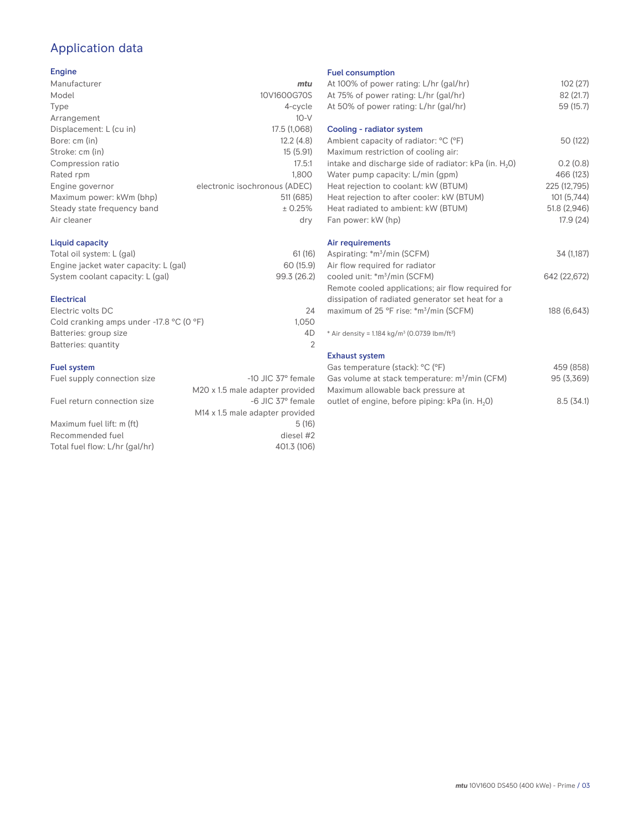# Application data

#### Engine

| Manufacturer                | mtu                           |
|-----------------------------|-------------------------------|
| Model                       | 10V1600G70S                   |
| Type                        | 4-cycle                       |
| Arrangement                 | $10-V$                        |
| Displacement: L (cu in)     | 17.5 (1,068)                  |
| Bore: cm (in)               | 12.2(4.8)                     |
| Stroke: cm (in)             | 15(5.91)                      |
| Compression ratio           | 17.5:1                        |
| Rated rpm                   | 1.800                         |
| Engine governor             | electronic isochronous (ADEC) |
| Maximum power: kWm (bhp)    | 511 (685)                     |
| Steady state frequency band | ± 0.25%                       |
| Air cleaner                 | dry                           |
|                             |                               |

## Liquid capacity

| Total oil system: L (gal)             | 61(16)      |
|---------------------------------------|-------------|
| Engine jacket water capacity: L (gal) | 60 (15.9)   |
| System coolant capacity: L (gal)      | 99.3 (26.2) |

#### Electrical

| Electric volts DC                                            | 24    |
|--------------------------------------------------------------|-------|
| Cold cranking amps under -17.8 $^{\circ}$ C (O $^{\circ}$ F) | 1.050 |
| Batteries: group size                                        | 4D    |
| Batteries: quantity                                          |       |
|                                                              |       |

#### Fuel system

| Fuel supply connection size    | $-10$ JIC 37 $\degree$ female   | Gas volume at stack temperature: $m^3/m$ in (CFM)           | 95(3,369) |
|--------------------------------|---------------------------------|-------------------------------------------------------------|-----------|
|                                | M20 x 1.5 male adapter provided | Maximum allowable back pressure at                          |           |
| Fuel return connection size    | -6 JIC 37° female               | outlet of engine, before piping: kPa (in. H <sub>2</sub> O) | 8.5(34.1) |
|                                | M14 x 1.5 male adapter provided |                                                             |           |
| Maximum fuel lift: m (ft)      | 5(16)                           |                                                             |           |
| Recommended fuel               | diesel #2                       |                                                             |           |
| Total fuel flow: L/hr (gal/hr) | 401.3 (106)                     |                                                             |           |
|                                |                                 |                                                             |           |

#### Fuel consumption

|                      | <b>I GET CONSUMPTION</b>                                             |              |
|----------------------|----------------------------------------------------------------------|--------------|
| ū                    | At 100% of power rating: L/hr (gal/hr)                               | 102(27)      |
| S                    | At 75% of power rating: L/hr (gal/hr)                                | 82 (21.7)    |
| e                    | At 50% of power rating: L/hr (gal/hr)                                | 59 (15.7)    |
| V                    |                                                                      |              |
| 3)                   | Cooling - radiator system                                            |              |
| 3)                   | Ambient capacity of radiator: °C (°F)                                | 50 (122)     |
| 1)                   | Maximum restriction of cooling air:                                  |              |
| :1                   | intake and discharge side of radiator: kPa (in. H <sub>2</sub> O)    | 0.2(0.8)     |
| 0                    | Water pump capacity: L/min (gpm)                                     | 466 (123)    |
| C)                   | Heat rejection to coolant: kW (BTUM)                                 | 225 (12,795) |
| 5)                   | Heat rejection to after cooler: kW (BTUM)                            | 101(5,744)   |
| ℅                    | Heat radiated to ambient: kW (BTUM)                                  | 51.8 (2,946) |
| .<br>V               | Fan power: kW (hp)                                                   | 17.9(24)     |
|                      | Air requirements                                                     |              |
| 6)                   | Aspirating: *m <sup>3</sup> /min (SCFM)                              | 34 (1,187)   |
| 9)                   | Air flow required for radiator                                       |              |
| .2)                  | cooled unit: *m <sup>3</sup> /min (SCFM)                             | 642 (22,672) |
|                      | Remote cooled applications; air flow required for                    |              |
|                      | dissipation of radiated generator set heat for a                     |              |
| 24                   | maximum of 25 °F rise: *m <sup>3</sup> /min (SCFM)                   | 188 (6,643)  |
| 50                   |                                                                      |              |
| ŀD<br>$\overline{2}$ | * Air density = $1.184 \text{ kg/m}^3$ (0.0739 lbm/ft <sup>3</sup> ) |              |
|                      | <b>Exhaust system</b>                                                |              |
|                      | Gas temperature (stack): °C (°F)                                     | 459 (858)    |
| ıle                  | Gas volume at stack temperature: m <sup>3</sup> /min (CFM)           | 95 (3,369)   |
| эd                   | Maximum allowable back pressure at                                   |              |
|                      |                                                                      |              |